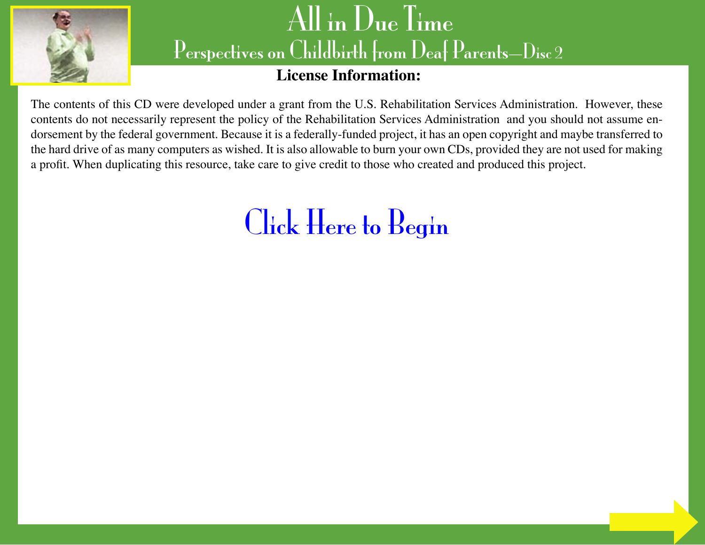

#### **License Information:**

The contents of this CD were developed under a grant from the U.S. Rehabilitation Services Administration. However, these contents do not necessarily represent the policy of the Rehabilitation Services Administration and you should not assume endorsement by the federal government. Because it is a federally-funded project, it has an open copyright and maybe transferred to the hard drive of as many computers as wished. It is also allowable to burn your own CDs, provided they are not used for making a profit. When duplicating this resource, take care to give credit to those who created and produced this project.

# [Click Here to Begin](#page-1-0)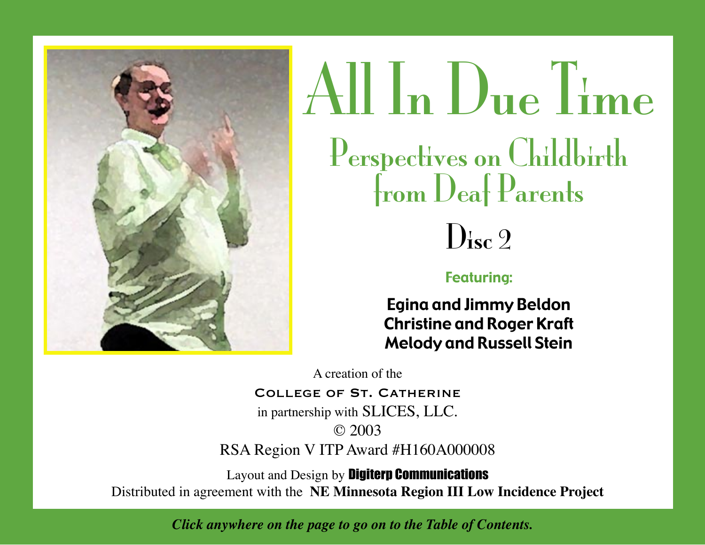<span id="page-1-0"></span>



#### Featuring:

Egina and Jimmy Beldon Christine and Roger Kraft Melody and Russell Stein

A creation of the

#### COLLEGE OF ST. CATHERINE

in partnership with SLICES, LLC. © 2003

RSA Region V ITP Award #H160A000008

Layout and Design by Digiterp Communications Distributed in agreement with the **NE Minnesota Region III Low Incidence Project**

*Click anywhere on the page to go on to the Table of Contents.*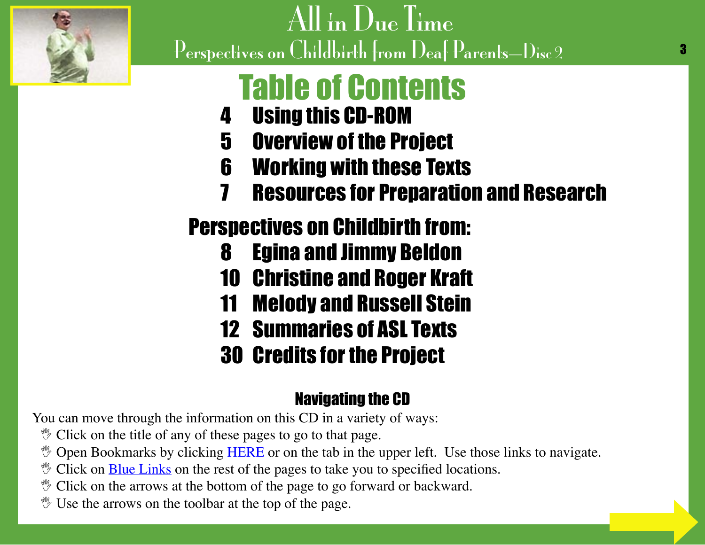<span id="page-2-0"></span>

# Table of Contents

- 4 [Using this CD-ROM](#page-3-0)
- 5 [Overview of the Project](#page-4-0)
- 6 [Working with these Texts](#page-5-0)
- 7 [Resources for Preparation and Research](#page-6-0)

### Perspectives on Childbirth from:

- 8 [Egina and Jimmy Beldon](#page-7-0)
- 10 [Christine and Roger Kraft](#page-9-0)
- 11 [Melody and Russell Stein](#page-10-0)
- 12 [Summaries of ASL Texts](#page-11-0)
- 30 [Credits for the Project](#page-29-0)

### Navigating the CD

You can move through the information on this CD in a variety of ways:

- $\mathcal V$  Click on the title of any of these pages to go to that page.
- **V** Open Bookmarks by clicking HERE or on the tab in the upper left. Use those links to navigate.
- $\mathcal V$  Click on **Blue Links** on the rest of the pages to take you to specified locations.
- $\mathcal V$  Click on the arrows at the bottom of the page to go forward or backward.
- $\mathcal Y$  Use the arrows on the toolbar at the top of the page.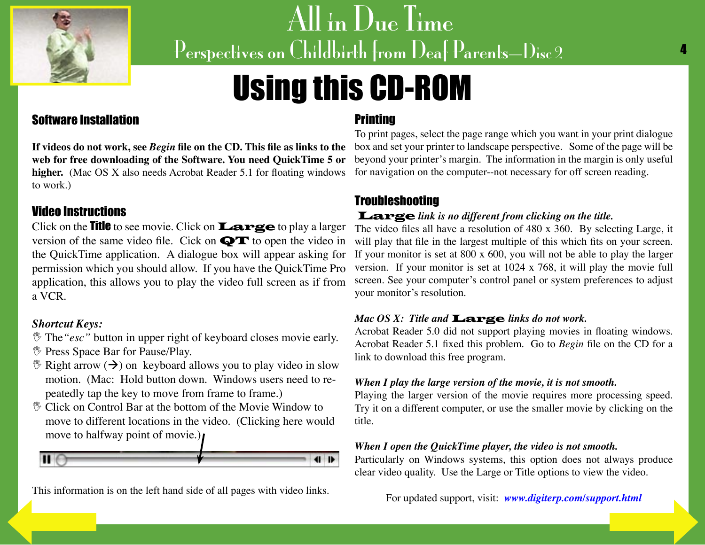<span id="page-3-0"></span>

# Using this CD-ROM

#### Software Installation

higher. (Mac OS X also needs Acrobat Reader 5.1 for floating windows to work.)

#### Video Instructions

Click on the Title to see movie. Click on Large to play a larger version of the same video file. Cick on  $\mathbf{Q} \mathbf{T}$  to open the video in the QuickTime application. A dialogue box will appear asking for permission which you should allow. If you have the QuickTime Pro application, this allows you to play the video full screen as if from a VCR.

#### *Shortcut Keys:*

- *If* The "esc" button in upper right of keyboard closes movie early.
- *<sup>\*\*</sup>* Press Space Bar for Pause/Play.
- $\mathcal{F}$  Right arrow ( $\rightarrow$ ) on keyboard allows you to play video in slow motion. (Mac: Hold button down. Windows users need to repeatedly tap the key to move from frame to frame.)
- $\mathcal V$  Click on Control Bar at the bottom of the Movie Window to move to different locations in the video. (Clicking here would move to halfway point of movie.)



[This information](#page-2-0) is on the left hand side of all pages with video links.

#### **Printing**

**If videos do not work, see** *Begin* **file on the CD. This file as links to the**  box and set your printer to landscape perspective. Some of the page will be **web for free downloading of the Software. You need QuickTime 5 or**  beyond your printer's margin. The information in the margin is only useful To print pages, select the page range which you want in your print dialogue for navigation on the computer--not necessary for off screen reading.

#### **Troubleshooting**

#### Large *link is no different from clicking on the title.*

The video files all have a resolution of 480 x 360. By selecting Large, it will play that file in the largest multiple of this which fits on your screen. If your monitor is set at 800 x 600, you will not be able to play the larger version. If your monitor is set at 1024 x 768, it will play the movie full screen. See your computer's control panel or system preferences to adjust your monitor's resolution.

#### *Mac OS X: Title and* Large *links do not work.*

Acrobat Reader 5.0 did not support playing movies in floating windows. Acrobat Reader 5.1 fixed this problem. Go to *Begin* file on the CD for a link to download this free program.

#### *When I play the large version of the movie, it is not smooth.*

Playing the larger version of the movie requires more processing speed. Try it on a different computer, or use the smaller movie by clicking on the title.

#### *When I open the QuickTime player, the video is not smooth.*

Particularly on Windows systems, this option does not always produce clear video quality. Use the Large or Title options to view the video.

For updated support, visit: *[www.digiterp.com/support.html](http://www.digiterp.com/support.html)*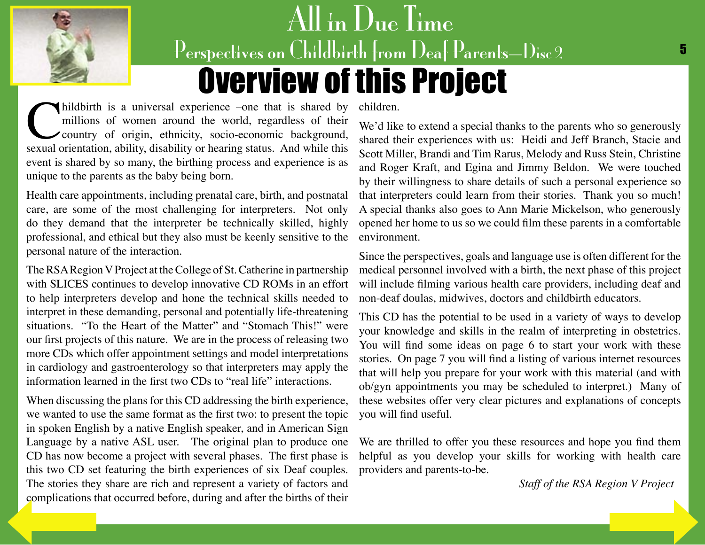<span id="page-4-0"></span>

# All in Due Time Perspectives on Childbirth from Deaf Parents—Disc 2 5 Overview of this Project

millions of women around the world, regardless of their country of origin, ethnicity, socio-economic background, sexual orientation, ability, disability or hearing status. And while this millions of women around the world, regardless of their country of origin, ethnicity, socio-economic background, event is shared by so many, the birthing process and experience is as unique to the parents as the baby being born.

Health care appointments, including prenatal care, birth, and postnatal care, are some of the most challenging for interpreters. Not only do they demand that the interpreter be technically skilled, highly professional, and ethical but they also must be keenly sensitive to the personal nature of the interaction.

The RSA Region V Project at the College of St. Catherine in partnership with SLICES continues to develop innovative CD ROMs in an effort to help interpreters develop and hone the technical skills needed to interpret in these demanding, personal and potentially life-threatening situations. "To the Heart of the Matter" and "Stomach This!" were our first projects of this nature. We are in the process of releasing two more CDs which offer appointment settings and model interpretations in cardiology and gastroenterology so that interpreters may apply the information learned in the first two CDs to "real life" interactions.

When discussing the plans for this CD addressing the birth experience, we wanted to use the same format as the first two: to present the topic in spoken English by a native English speaker, and in American Sign Language by a native ASL user. The original plan to produce one CD has now become a project with several phases. The first phase is this two CD set featuring the birth experiences of six Deaf couples. The stories they share are rich and represent a variety of factors and [complications th](#page-3-0)at occurred before, during and after the births of their

children.

We'd like to extend a special thanks to the parents who so generously shared their experiences with us: Heidi and Jeff Branch, Stacie and Scott Miller, Brandi and Tim Rarus, Melody and Russ Stein, Christine and Roger Kraft, and Egina and Jimmy Beldon. We were touched by their willingness to share details of such a personal experience so that interpreters could learn from their stories. Thank you so much! A special thanks also goes to Ann Marie Mickelson, who generously opened her home to us so we could film these parents in a comfortable environment.

Since the perspectives, goals and language use is often different for the medical personnel involved with a birth, the next phase of this project will include filming various health care providers, including deaf and non-deaf doulas, midwives, doctors and childbirth educators.

This CD has the potential to be used in a variety of ways to develop your knowledge and skills in the realm of interpreting in obstetrics. You will find some ideas on page 6 to start your work with these stories. On page 7 you will find a listing of various internet resources that will help you prepare for your work with this material (and with ob/gyn appointments you may be scheduled to interpret.) Many of these websites offer very clear pictures and explanations of concepts you will find useful.

We are thrilled to offer you these resources and hope you find them helpful as you develop your skills for working with health care providers and parents-to-be.

*Staff of the RSA Region V Project*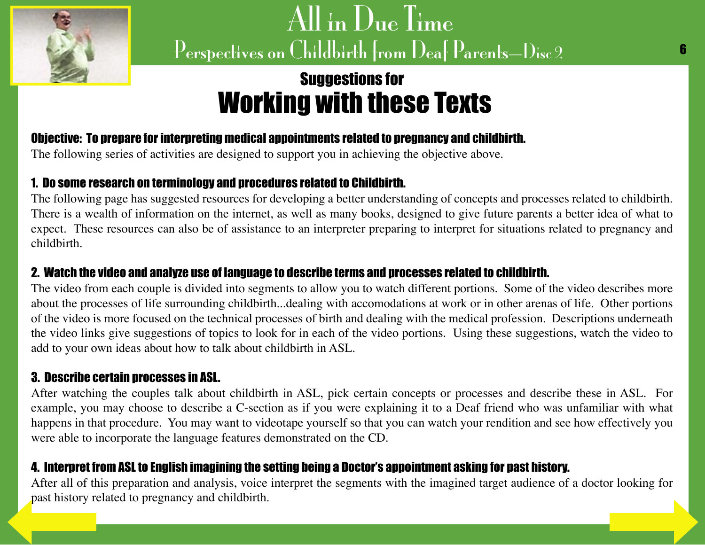<span id="page-5-0"></span>

### Suggestions for Working with these Texts

#### Objective: To prepare for interpreting medical appointments related to pregnancy and childbirth.

The following series of activities are designed to support you in achieving the objective above.

#### 1. Do some research on terminology and procedures related to Childbirth.

The following page has suggested resources for developing a better understanding of concepts and processes related to childbirth. There is a wealth of information on the internet, as well as many books, designed to give future parents a better idea of what to expect. These resources can also be of assistance to an interpreter preparing to interpret for situations related to pregnancy and childbirth.

#### 2. Watch the video and analyze use of language to describe terms and processes related to childbirth.

The video from each couple is divided into segments to allow you to watch different portions. Some of the video describes more about the processes of life surrounding childbirth...dealing with accomodations at work or in other arenas of life. Other portions of the video is more focused on the technical processes of birth and dealing with the medical profession. Descriptions underneath the video links give suggestions of topics to look for in each of the video portions. Using these suggestions, watch the video to add to your own ideas about how to talk about childbirth in ASL.

#### 3. Describe certain processes in ASL.

After watching the couples talk about childbirth in ASL, pick certain concepts or processes and describe these in ASL. For example, you may choose to describe a C-section as if you were explaining it to a Deaf friend who was unfamiliar with what happens in that procedure. You may want to videotape yourself so that you can watch your rendition and see how effectively you were able to incorporate the language features demonstrated on the CD.

#### 4. Interpret from ASL to English imagining the setting being a Doctor's appointment asking for past history.

After all of this preparation and analysis, voice interpret the segments with the imagined target audience of a doctor looking for [past history rel](#page-4-0)ated to pregnancy and childbirth.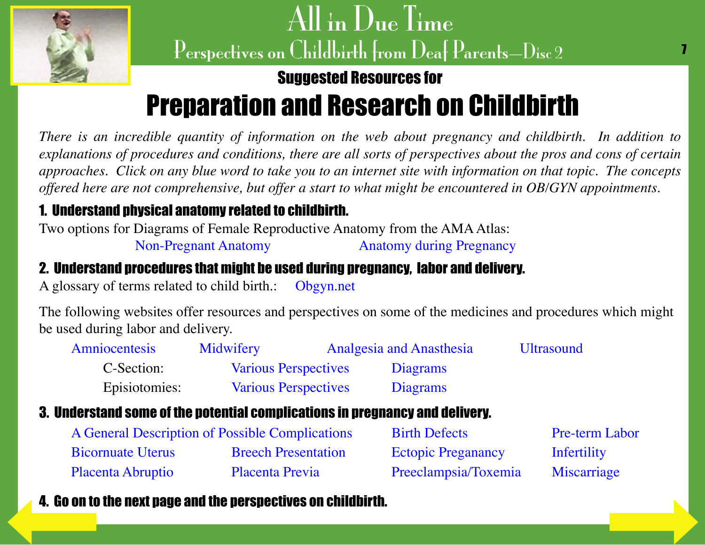<span id="page-6-0"></span>

### Suggested Resources for

# Preparation and Research on Childbirth

*There is an incredible quantity of information on the web about pregnancy and childbirth. In addition to explanations of procedures and conditions, there are all sorts of perspectives about the pros and cons of certain approaches. Click on any blue word to take you to an internet site with information on that topic. The concepts offered here are not comprehensive, but offer a start to what might be encountered in OB/GYN appointments.*

### 1. Understand physical anatomy related to childbirth.

Two options for Diagrams of Female Reproductive Anatomy from the AMA Atlas:

[Non-Pregnant Anatomy](http://www.ama-assn.org/ama/pub/category/7163.html) [Anatomy during Pregnancy](http://www.ama-assn.org/ama/pub/category/7161.html)

#### 2. Understand procedures that might be used during pregnancy, labor and delivery.

A glossary of terms related to child birth.: [Obgyn.net](http://www.obgyn.net/displayarticle.asp?page=glossary_of_terms) 

The following websites offer resources and perspectives on some of the medicines and procedures which might be used during labor and delivery.

| <b>Amniocentesis</b> | Midwifery                   | <b>Analgesia and Anasthesia</b> | <b>Ultrasound</b> |
|----------------------|-----------------------------|---------------------------------|-------------------|
| C-Section:           | <b>Various Perspectives</b> | Diagrams                        |                   |
| Episiotomies:        | <b>Various Perspectives</b> | Diagrams                        |                   |

#### 3. Understand some of the potential complications in pregnancy and delivery.

| A General Description of Possible Complications |                            | <b>Birth Defects</b>      | <b>Pre-term Labor</b> |
|-------------------------------------------------|----------------------------|---------------------------|-----------------------|
| <b>Bicornuate Uterus</b>                        | <b>Breech Presentation</b> | <b>Ectopic Preganancy</b> | Infertility           |
| Placenta Abruptio                               | Placenta Previa            | Preeclampsia/Toxemia      | Miscarriage           |

### [4. Go on to th](#page-5-0)e next page and the perspectives on childbirth.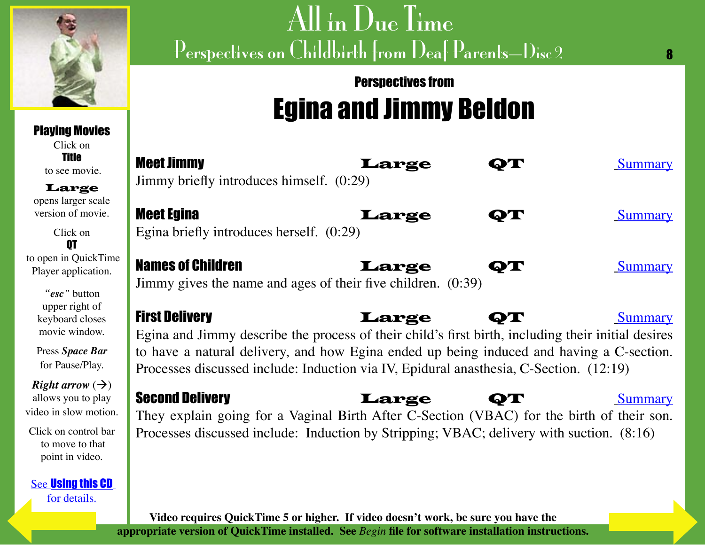<span id="page-7-0"></span>

### Playing Movies

Click on **Title** to see movie.

Large opens larger scale version of movie.

Click on **OT**  to open in QuickTime Player application.

> *"esc"* button upper right of keyboard closes movie window.

Press *Space Bar* for Pause/Play.

*Right arrow*  $(\rightarrow)$ allows you to play video in slow motion.

Click on control bar to move to that point in video.

See [Using this CD](#page-3-0) [for details.](#page-6-0)

# All in Due Time Perspectives on Childbirth from Deaf Parents—Disc 2

### Perspectives from Egina and Jimmy Beldon

|   | <b>Meet Jimmy</b><br>Jimmy briefly introduces himself. (0:29)                                                                                                                                                                                                                                                     | Large |             | Summary        |
|---|-------------------------------------------------------------------------------------------------------------------------------------------------------------------------------------------------------------------------------------------------------------------------------------------------------------------|-------|-------------|----------------|
|   | <b>Meet Egina</b><br>Egina briefly introduces herself. (0:29)                                                                                                                                                                                                                                                     | Large | ay t        | <b>Summary</b> |
| e | <b>Names of Children</b><br>Jimmy gives the name and ages of their five children. (0:39)                                                                                                                                                                                                                          | Large | ФТ          | <b>Summary</b> |
|   | <b>First Delivery</b><br>Egina and Jimmy describe the process of their child's first birth, including their initial desires<br>to have a natural delivery, and how Egina ended up being induced and having a C-section.<br>Processes discussed include: Induction via IV, Epidural anasthesia, C-Section. (12:19) | Large | $\bullet$ T | <b>Summary</b> |
|   | <b>Second Delivery</b><br>They explain going for a Vaginal Birth After C-Section (VBAC) for the birth of their son.<br>Processes discussed include: Induction by Stripping; VBAC; delivery with suction. (8:16)                                                                                                   | Large | $\bullet$ T | <b>Summary</b> |

**Video requires QuickTime 5 or higher. If video doesn't work, be sure you have the appropriate version of QuickTime installed. See** *Begin* **file for software installation instructions.**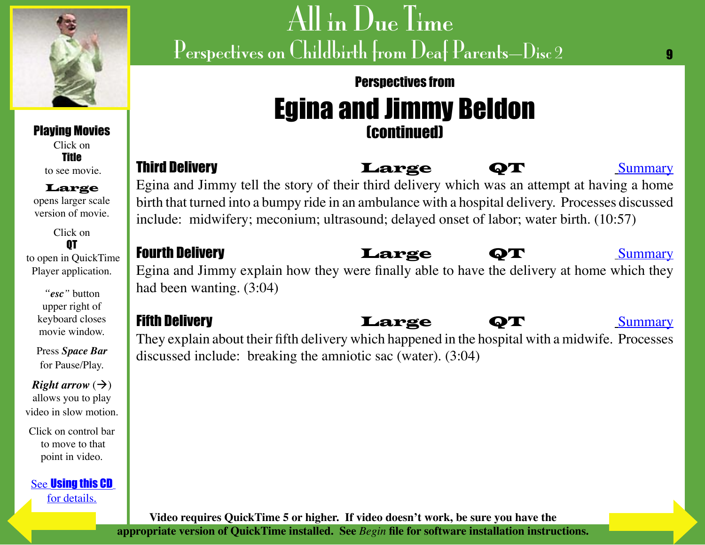<span id="page-8-0"></span>

### Perspectives from Egina and Jimmy Beldon (continued)

 $\mathbf{Q}$ 

### to see movie.

Large opens larger scale version of movie.

Playing Movies Click on Title

Click on QT to open in QuickTime Player application.

> *"esc"* button upper right of keyboard closes movie window.

Press *Space Bar* for Pause/Play.

*Right arrow*  $(\rightarrow)$ allows you to play video in slow motion.

Click on control bar to move to that point in video.

See [Using this CD](#page-3-0) [for details.](#page-7-0)

#### Third Delivery **Large** QT [Summary](#page-16-0) Egina and Jimmy tell the story of their third delivery which was an attempt at having a home birth that turned into a bumpy ride in an ambulance with a hospital delivery. Processes discussed include: midwifery; meconium; ultrasound; delayed onset of labor; water birth. (10:57)

#### Fourth Delivery **Large** QT [Summary](#page-19-0)

#### Egina and Jimmy explain how they were finally able to have the delivery at home which they had been wanting. (3:04)

#### Fifth Delivery **Large QT** [Summary](#page-20-0)

#### They explain about their fifth delivery which happened in the hospital with a midwife. Processes discussed include: breaking the amniotic sac (water). (3:04)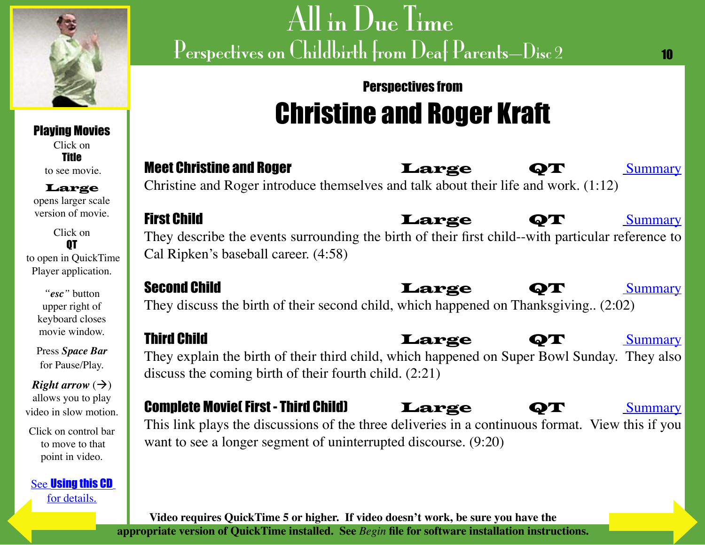<span id="page-9-0"></span>

Playing Movies

# All in Due Time Perspectives on Childbirth from Deaf Parents—Disc 2

### Perspectives from Christine and Roger Kraft

10

| Click on<br><b>Title</b><br>to see movie.<br>Large<br>opens larger scale | <b>Meet Christine and Roger</b><br>Large<br><b>Summary</b><br>ОТ<br>Christine and Roger introduce themselves and talk about their life and work. (1:12)             |
|--------------------------------------------------------------------------|---------------------------------------------------------------------------------------------------------------------------------------------------------------------|
| version of movie.                                                        | <b>First Child</b><br>Large<br>QT<br><b>Summary</b>                                                                                                                 |
| Click on<br>0T<br>to open in QuickTime<br>Player application.            | They describe the events surrounding the birth of their first child--with particular reference to<br>Cal Ripken's baseball career. (4:58)                           |
| "esc" button<br>upper right of<br>keyboard closes                        | <b>Second Child</b><br>Large<br>ОТ<br><b>Summary</b><br>They discuss the birth of their second child, which happened on Thanksgiving (2:02)                         |
| movie window.                                                            | <b>Third Child</b><br>Large<br><b>Summary</b><br>QT                                                                                                                 |
| Press Space Bar<br>for Pause/Play.                                       | They explain the birth of their third child, which happened on Super Bowl Sunday. They also<br>discuss the coming birth of their fourth child. $(2.21)$             |
| <i>Right arrow</i> $(\rightarrow)$                                       |                                                                                                                                                                     |
| allows you to play<br>video in slow motion.                              | <b>Complete Moviel First - Third Child)</b><br>Large<br><b>Summary</b>                                                                                              |
| Click on control bar<br>to move to that<br>point in video.               | This link plays the discussions of the three deliveries in a continuous format. View this if you<br>want to see a longer segment of uninterrupted discourse. (9:20) |
| <b>See Using this CD</b><br>for details.                                 |                                                                                                                                                                     |

**Video requires QuickTime 5 or higher. If video doesn't work, be sure you have the appropriate version of QuickTime installed. See** *Begin* **file for software installation instructions.**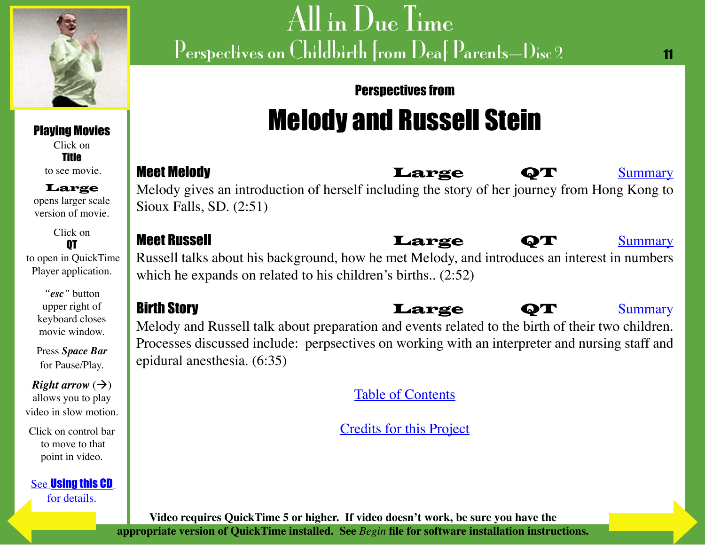<span id="page-10-0"></span>

Playing Movies Click on Title to see movie. Large opens larger scale version of movie.

Click on QT to open in QuickTime Player application.

> *"esc"* button upper right of keyboard closes movie window.

Press *Space Bar* for Pause/Play.

*Right arrow*  $(\rightarrow)$ allows you to play video in slow motion.

Click on control bar to move to that point in video.

See [Using this CD](#page-3-0)

# All in Due Time Perspectives on Childbirth from Deaf Parents—Disc 2

#### 11

#### Perspectives from

# Melody and Russell Stein

Meet Melody **Example 19th Control Control** Meet Melody **[Summary](#page-24-0)** Melody gives an introduction of herself including the story of her journey from Hong Kong to Sioux Falls, SD. (2:51)

Russell talks about his background, how he met Melody, and introduces an interest in numbers which he expands on related to his children's births.. (2:52)

Birth Story Large QT [Summary](#page-26-0) Melody and Russell talk about preparation and events related to the birth of their two children. Processes discussed include: perpsectives on working with an interpreter and nursing staff and epidural anesthesia. (6:35)

[Table of Contents](#page-2-0)

[Credits for this Project](#page-29-0)



#### Meet Russell **Reference Called Large QT** and <u>[Summary](#page-25-0)</u>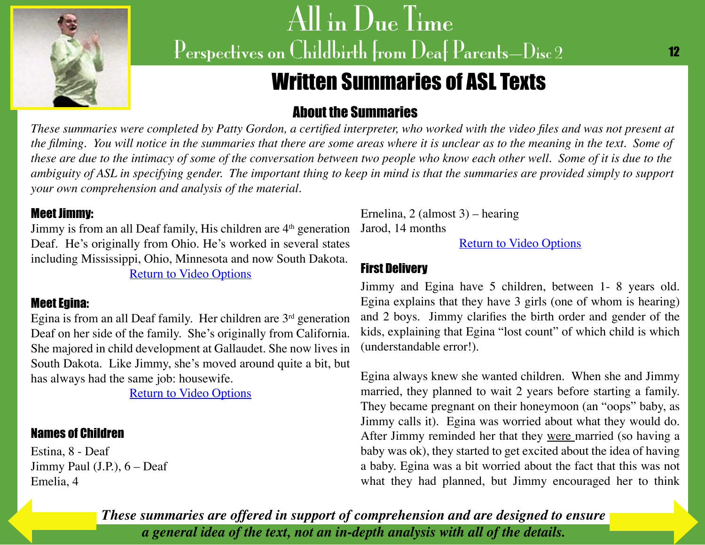<span id="page-11-0"></span>

### Written Summaries of ASL Texts

#### About the Summaries

*These summaries were completed by Patty Gordon, a certified interpreter, who worked with the video files and was not present at the filming. You will notice in the summaries that there are some areas where it is unclear as to the meaning in the text. Some of these are due to the intimacy of some of the conversation between two people who know each other well. Some of it is due to the ambiguity of ASL in specifying gender. The important thing to keep in mind is that the summaries are provided simply to support your own comprehension and analysis of the material.*

#### Meet Jimmy:

Jimmy is from an all Deaf family, His children are 4<sup>th</sup> generation Deaf. He's originally from Ohio. He's worked in several states including Mississippi, Ohio, Minnesota and now South Dakota. [Return to Video Options](#page-7-0)

#### Meet Egina:

Egina is from an all Deaf family. Her children are  $3<sup>rd</sup>$  generation Deaf on her side of the family. She's originally from California. She majored in child development at Gallaudet. She now lives in South Dakota. Like Jimmy, she's moved around quite a bit, but has always had the same job: housewife.

**[Return to Video Options](#page-7-0)** 

#### Names of Children

Estina, 8 - Deaf Jimmy Paul (J.P.), 6 – Deaf Emelia, 4

Ernelina, 2 (almost 3) – hearing Jarod, 14 months

[Return to Video Options](#page-7-0)

#### First Delivery

Jimmy and Egina have 5 children, between 1- 8 years old. Egina explains that they have 3 girls (one of whom is hearing) and 2 boys. Jimmy clarifies the birth order and gender of the kids, explaining that Egina "lost count" of which child is which (understandable error!).

Egina always knew she wanted children. When she and Jimmy married, they planned to wait 2 years before starting a family. They became pregnant on their honeymoon (an "oops" baby, as Jimmy calls it). Egina was worried about what they would do. After Jimmy reminded her that they were married (so having a baby was ok), they started to get excited about the idea of having a baby. Egina was a bit worried about the fact that this was not what they had planned, but Jimmy encouraged her to think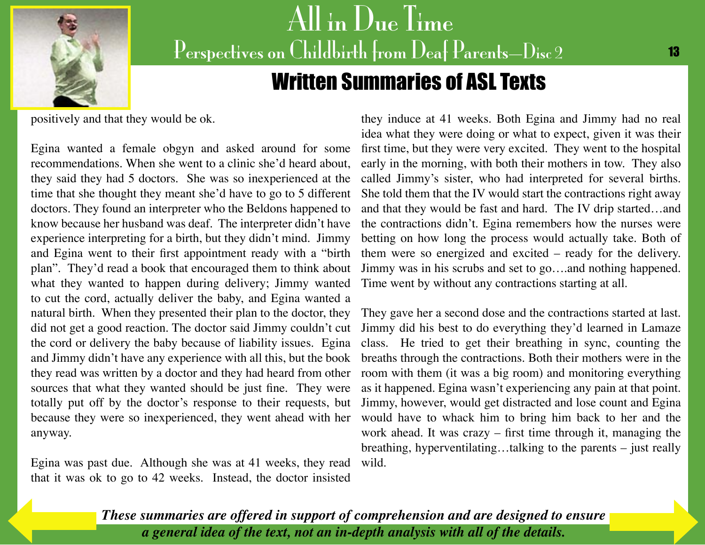<span id="page-12-0"></span>

## All in Due Time Perspectives on Childbirth from Deaf Parents-Disc 2 Written Summaries of ASL Texts

positively and that they would be ok.

Egina wanted a female obgyn and asked around for some recommendations. When she went to a clinic she'd heard about, they said they had 5 doctors. She was so inexperienced at the time that she thought they meant she'd have to go to 5 different doctors. They found an interpreter who the Beldons happened to know because her husband was deaf. The interpreter didn't have experience interpreting for a birth, but they didn't mind. Jimmy and Egina went to their first appointment ready with a "birth plan". They'd read a book that encouraged them to think about what they wanted to happen during delivery; Jimmy wanted to cut the cord, actually deliver the baby, and Egina wanted a natural birth. When they presented their plan to the doctor, they the cord or delivery the baby because of liability issues. Egina and Jimmy didn't have any experience with all this, but the book they read was written by a doctor and they had heard from other sources that what they wanted should be just fine. They were totally put off by the doctor's response to their requests, but because they were so inexperienced, they went ahead with her anyway.

Egina was past due. Although she was at 41 weeks, they read that it was ok to go to 42 weeks. Instead, the doctor insisted

they induce at 41 weeks. Both Egina and Jimmy had no real idea what they were doing or what to expect, given it was their first time, but they were very excited. They went to the hospital early in the morning, with both their mothers in tow. They also called Jimmy's sister, who had interpreted for several births. She told them that the IV would start the contractions right away and that they would be fast and hard. The IV drip started…and the contractions didn't. Egina remembers how the nurses were betting on how long the process would actually take. Both of them were so energized and excited – ready for the delivery. Jimmy was in his scrubs and set to go….and nothing happened. Time went by without any contractions starting at all.

did not get a good reaction. The doctor said Jimmy couldn't cut Jimmy did his best to do everything they'd learned in Lamaze They gave her a second dose and the contractions started at last. class. He tried to get their breathing in sync, counting the breaths through the contractions. Both their mothers were in the room with them (it was a big room) and monitoring everything as it happened. Egina wasn't experiencing any pain at that point. Jimmy, however, would get distracted and lose count and Egina would have to whack him to bring him back to her and the work ahead. It was crazy – first time through it, managing the breathing, hyperventilating…talking to the parents – just really wild.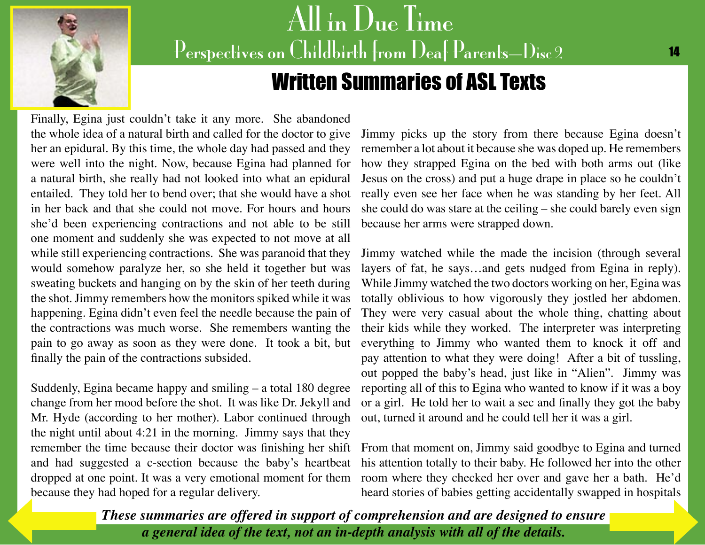<span id="page-13-0"></span>

### All in Due Time Perspectives on Childbirth from Deaf Parents-Disc 2 Written Summaries of ASL Texts

Finally, Egina just couldn't take it any more. She abandoned the whole idea of a natural birth and called for the doctor to give her an epidural. By this time, the whole day had passed and they were well into the night. Now, because Egina had planned for a natural birth, she really had not looked into what an epidural entailed. They told her to bend over; that she would have a shot in her back and that she could not move. For hours and hours she'd been experiencing contractions and not able to be still one moment and suddenly she was expected to not move at all while still experiencing contractions. She was paranoid that they would somehow paralyze her, so she held it together but was sweating buckets and hanging on by the skin of her teeth during the shot. Jimmy remembers how the monitors spiked while it was happening. Egina didn't even feel the needle because the pain of the contractions was much worse. She remembers wanting the pain to go away as soon as they were done. It took a bit, but finally the pain of the contractions subsided.

Suddenly, Egina became happy and smiling – a total 180 degree change from her mood before the shot. It was like Dr. Jekyll and Mr. Hyde (according to her mother). Labor continued through the night until about 4:21 in the morning. Jimmy says that they and had suggested a c-section because the baby's heartbeat because they had hoped for a regular delivery.

Jimmy picks up the story from there because Egina doesn't remember a lot about it because she was doped up. He remembers how they strapped Egina on the bed with both arms out (like Jesus on the cross) and put a huge drape in place so he couldn't really even see her face when he was standing by her feet. All she could do was stare at the ceiling – she could barely even sign because her arms were strapped down.

Jimmy watched while the made the incision (through several layers of fat, he says…and gets nudged from Egina in reply). While Jimmy watched the two doctors working on her, Egina was totally oblivious to how vigorously they jostled her abdomen. They were very casual about the whole thing, chatting about their kids while they worked. The interpreter was interpreting everything to Jimmy who wanted them to knock it off and pay attention to what they were doing! After a bit of tussling, out popped the baby's head, just like in "Alien". Jimmy was reporting all of this to Egina who wanted to know if it was a boy or a girl. He told her to wait a sec and finally they got the baby out, turned it around and he could tell her it was a girl.

remember the time because their doctor was finishing her shift From that moment on, Jimmy said goodbye to Egina and turned dropped at one point. It was a very emotional moment for them room where they checked her over and gave her a bath. He'd his attention totally to their baby. He followed her into the other heard stories of babies getting accidentally swa[pped in hospitals](#page-14-0)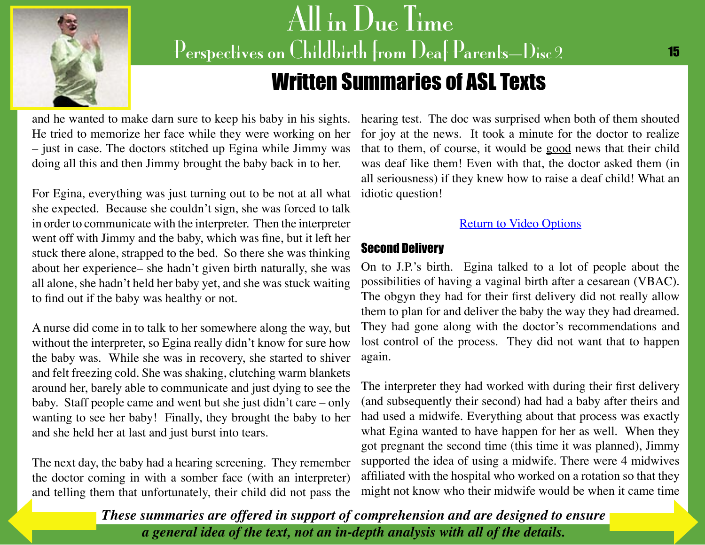<span id="page-14-0"></span>

### Written Summaries of ASL Texts

and he wanted to make darn sure to keep his baby in his sights. He tried to memorize her face while they were working on her – just in case. The doctors stitched up Egina while Jimmy was doing all this and then Jimmy brought the baby back in to her.

For Egina, everything was just turning out to be not at all what she expected. Because she couldn't sign, she was forced to talk in order to communicate with the interpreter. Then the interpreter went off with Jimmy and the baby, which was fine, but it left her stuck there alone, strapped to the bed. So there she was thinking about her experience– she hadn't given birth naturally, she was all alone, she hadn't held her baby yet, and she was stuck waiting to find out if the baby was healthy or not.

A nurse did come in to talk to her somewhere along the way, but without the interpreter, so Egina really didn't know for sure how the baby was. While she was in recovery, she started to shiver and felt freezing cold. She was shaking, clutching warm blankets around her, barely able to communicate and just dying to see the baby. Staff people came and went but she just didn't care – only wanting to see her baby! Finally, they brought the baby to her and she held her at last and just burst into tears.

The next day, the baby had a hearing screening. They remember the doctor coming in with a somber face (with an interpreter) [and telling the](#page-13-0)m that unfortunately, their child did not pass the

hearing test. The doc was surprised when both of them shouted for joy at the news. It took a minute for the doctor to realize that to them, of course, it would be good news that their child was deaf like them! Even with that, the doctor asked them (in all seriousness) if they knew how to raise a deaf child! What an idiotic question!

#### [Return to Video Options](#page-7-0)

#### Second Delivery

On to J.P.'s birth. Egina talked to a lot of people about the possibilities of having a vaginal birth after a cesarean (VBAC). The obgyn they had for their first delivery did not really allow them to plan for and deliver the baby the way they had dreamed. They had gone along with the doctor's recommendations and lost control of the process. They did not want that to happen again.

The interpreter they had worked with during their first delivery (and subsequently their second) had had a baby after theirs and had used a midwife. Everything about that process was exactly what Egina wanted to have happen for her as well. When they got pregnant the second time (this time it was planned), Jimmy supported the idea of using a midwife. There were 4 midwives affiliated with the hospital who worked on a rotation so that they might not know who their midwife would be when it came time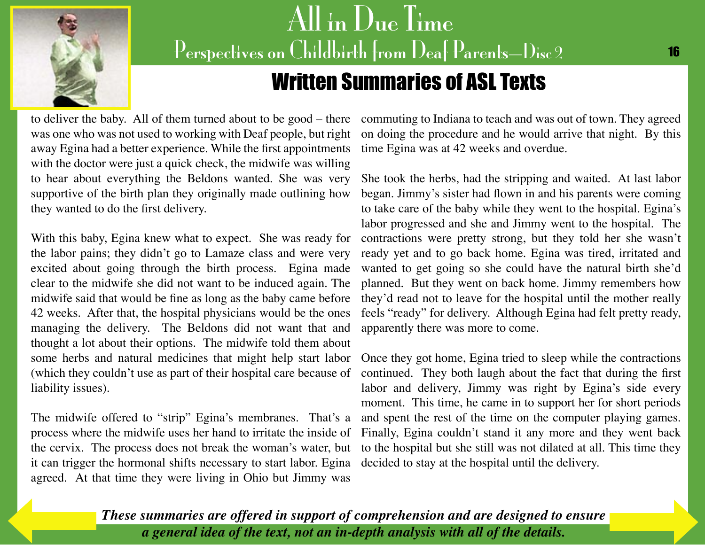<span id="page-15-0"></span>

### Written Summaries of ASL Texts

was one who was not used to working with Deaf people, but right away Egina had a better experience. While the first appointments with the doctor were just a quick check, the midwife was willing to hear about everything the Beldons wanted. She was very supportive of the birth plan they originally made outlining how they wanted to do the first delivery.

With this baby, Egina knew what to expect. She was ready for the labor pains; they didn't go to Lamaze class and were very excited about going through the birth process. Egina made clear to the midwife she did not want to be induced again. The midwife said that would be fine as long as the baby came before 42 weeks. After that, the hospital physicians would be the ones managing the delivery. The Beldons did not want that and thought a lot about their options. The midwife told them about some herbs and natural medicines that might help start labor (which they couldn't use as part of their hospital care because of liability issues).

The midwife offered to "strip" Egina's membranes. That's a the cervix. The process does not break the woman's water, but it can trigger the hormonal shifts necessary to start labor. Egina decided to stay at the hospital until the delivery.agreed. At that time they were living in Ohio but Jimmy was

to deliver the baby. All of them turned about to be good – there commuting to Indiana to teach and was out of town. They agreed on doing the procedure and he would arrive that night. By this time Egina was at 42 weeks and overdue.

> She took the herbs, had the stripping and waited. At last labor began. Jimmy's sister had flown in and his parents were coming to take care of the baby while they went to the hospital. Egina's labor progressed and she and Jimmy went to the hospital. The contractions were pretty strong, but they told her she wasn't ready yet and to go back home. Egina was tired, irritated and wanted to get going so she could have the natural birth she'd planned. But they went on back home. Jimmy remembers how they'd read not to leave for the hospital until the mother really feels "ready" for delivery. Although Egina had felt pretty ready, apparently there was more to come.

process where the midwife uses her hand to irritate the inside of Finally, Egina couldn't stand it any more and they went back Once they got home, Egina tried to sleep while the contractions continued. They both laugh about the fact that during the first labor and delivery, Jimmy was right by Egina's side every moment. This time, he came in to support her for short periods and spent the rest of the time on the computer playing games. to the hospital but she still was not dilated at all. This time they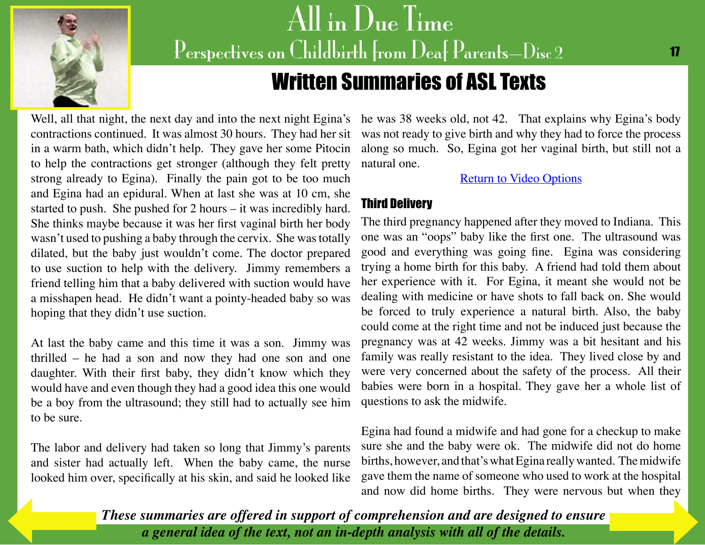<span id="page-16-0"></span>

### Written Summaries of ASL Texts

contractions continued. It was almost 30 hours. They had her sit in a warm bath, which didn't help. They gave her some Pitocin to help the contractions get stronger (although they felt pretty strong already to Egina). Finally the pain got to be too much and Egina had an epidural. When at last she was at 10 cm, she started to push. She pushed for 2 hours – it was incredibly hard. She thinks maybe because it was her first vaginal birth her body wasn't used to pushing a baby through the cervix. She was totally dilated, but the baby just wouldn't come. The doctor prepared to use suction to help with the delivery. Jimmy remembers a friend telling him that a baby delivered with suction would have a misshapen head. He didn't want a pointy-headed baby so was hoping that they didn't use suction.

At last the baby came and this time it was a son. Jimmy was thrilled – he had a son and now they had one son and one daughter. With their first baby, they didn't know which they would have and even though they had a good idea this one would be a boy from the ultrasound; they still had to actually see him to be sure.

The labor and delivery had taken so long that Jimmy's parents and sister had actually left. When the baby came, the nurse looked him over, specifically at his skin, and said he looked like

Well, all that night, the next day and into the next night Egina's he was 38 weeks old, not 42. That explains why Egina's body was not ready to give birth and why they had to force the process along so much. So, Egina got her vaginal birth, but still not a natural one.

[Return to Video Options](#page-7-0)

#### Third Delivery

The third pregnancy happened after they moved to Indiana. This one was an "oops" baby like the first one. The ultrasound was good and everything was going fine. Egina was considering trying a home birth for this baby. A friend had told them about her experience with it. For Egina, it meant she would not be dealing with medicine or have shots to fall back on. She would be forced to truly experience a natural birth. Also, the baby could come at the right time and not be induced just because the pregnancy was at 42 weeks. Jimmy was a bit hesitant and his family was really resistant to the idea. They lived close by and were very concerned about the safety of the process. All their babies were born in a hospital. They gave her a whole list of questions to ask the midwife.

Egina had found a midwife and had gone for a checkup to make sure she and the baby were ok. The midwife did not do home births, however, and that's what Egina really wanted. The midwife gave them the name of someone who used to work at the hospital and now did home births. They were nervous but when they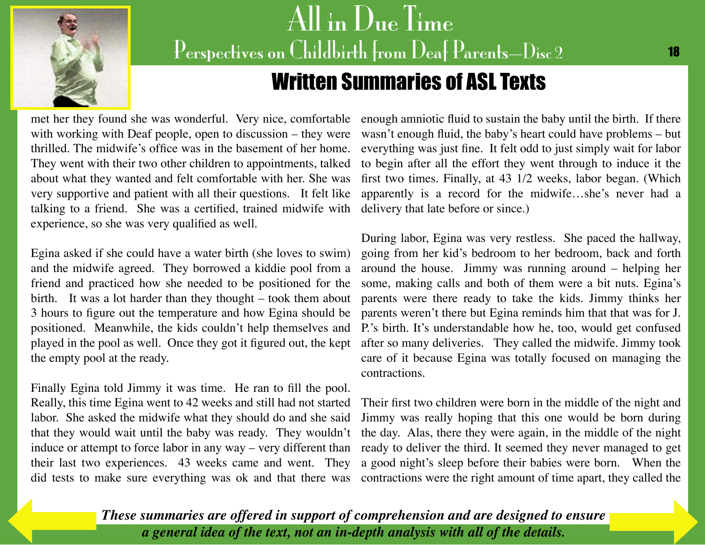<span id="page-17-0"></span>

## All in Due Time Perspectives on Childbirth from Deaf Parents-Disc 2 Written Summaries of ASL Texts

met her they found she was wonderful. Very nice, comfortable with working with Deaf people, open to discussion – they were thrilled. The midwife's office was in the basement of her home. They went with their two other children to appointments, talked about what they wanted and felt comfortable with her. She was very supportive and patient with all their questions. It felt like talking to a friend. She was a certified, trained midwife with experience, so she was very qualified as well.

Egina asked if she could have a water birth (she loves to swim) and the midwife agreed. They borrowed a kiddie pool from a friend and practiced how she needed to be positioned for the birth. It was a lot harder than they thought – took them about 3 hours to figure out the temperature and how Egina should be positioned. Meanwhile, the kids couldn't help themselves and played in the pool as well. Once they got it figured out, the kept the empty pool at the ready.

Finally Egina told Jimmy it was time. He ran to fill the pool. Really, this time Egina went to 42 weeks and still had not started labor. She asked the midwife what they should do and she said that they would wait until the baby was ready. They wouldn't induce or attempt to force labor in any way – very different than their last two experiences. 43 weeks came and went. They did tests to make sure everything was ok and that there was contractions were the right amount of time apart, they called the

enough amniotic fluid to sustain the baby until the birth. If there wasn't enough fluid, the baby's heart could have problems – but everything was just fine. It felt odd to just simply wait for labor to begin after all the effort they went through to induce it the first two times. Finally, at 43 1/2 weeks, labor began. (Which apparently is a record for the midwife…she's never had a delivery that late before or since.)

During labor, Egina was very restless. She paced the hallway, going from her kid's bedroom to her bedroom, back and forth around the house. Jimmy was running around – helping her some, making calls and both of them were a bit nuts. Egina's parents were there ready to take the kids. Jimmy thinks her parents weren't there but Egina reminds him that that was for J. P.'s birth. It's understandable how he, too, would get confused after so many deliveries. They called the midwife. Jimmy took care of it because Egina was totally focused on managing the contractions.

Their first two children were born in the middle of the night and Jimmy was really hoping that this one would be born during the day. Alas, there they were again, in the middle of the night ready to deliver the third. It seemed they never managed to get a good night's sleep before their babies were born. When the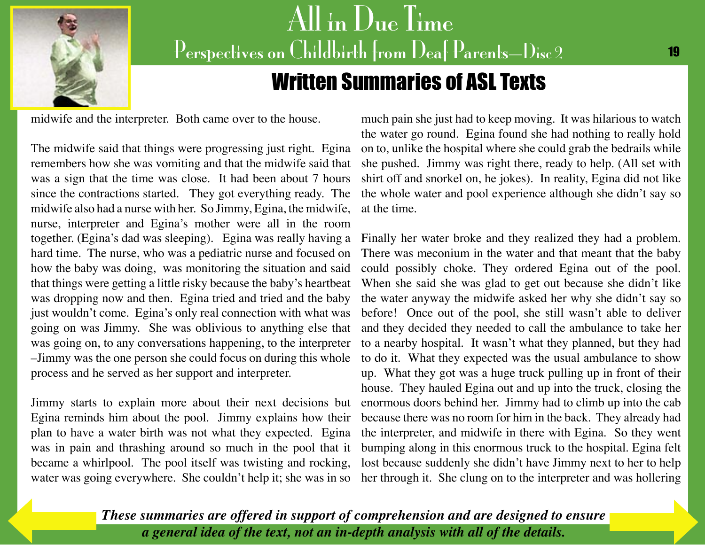<span id="page-18-0"></span>

## All in Due Time Perspectives on Childbirth from Deaf Parents-Disc 2 Written Summaries of ASL Texts

midwife and the interpreter. Both came over to the house.

The midwife said that things were progressing just right. Egina remembers how she was vomiting and that the midwife said that was a sign that the time was close. It had been about 7 hours since the contractions started. They got everything ready. The midwife also had a nurse with her. So Jimmy, Egina, the midwife, nurse, interpreter and Egina's mother were all in the room hard time. The nurse, who was a pediatric nurse and focused on how the baby was doing, was monitoring the situation and said that things were getting a little risky because the baby's heartbeat was dropping now and then. Egina tried and tried and the baby just wouldn't come. Egina's only real connection with what was going on was Jimmy. She was oblivious to anything else that was going on, to any conversations happening, to the interpreter –Jimmy was the one person she could focus on during this whole process and he served as her support and interpreter.

Jimmy starts to explain more about their next decisions but Egina reminds him about the pool. Jimmy explains how their plan to have a water birth was not what they expected. Egina was in pain and thrashing around so much in the pool that it became a whirlpool. The pool itself was twisting and rocking, water was going everywhere. She couldn't help it; she was in so

much pain she just had to keep moving. It was hilarious to watch the water go round. Egina found she had nothing to really hold on to, unlike the hospital where she could grab the bedrails while she pushed. Jimmy was right there, ready to help. (All set with shirt off and snorkel on, he jokes). In reality, Egina did not like the whole water and pool experience although she didn't say so at the time.

together. (Egina's dad was sleeping). Egina was really having a Finally her water broke and they realized they had a problem. There was meconium in the water and that meant that the baby could possibly choke. They ordered Egina out of the pool. When she said she was glad to get out because she didn't like the water anyway the midwife asked her why she didn't say so before! Once out of the pool, she still wasn't able to deliver and they decided they needed to call the ambulance to take her to a nearby hospital. It wasn't what they planned, but they had to do it. What they expected was the usual ambulance to show up. What they got was a huge truck pulling up in front of their house. They hauled Egina out and up into the truck, closing the enormous doors behind her. Jimmy had to climb up into the cab because there was no room for him in the back. They already had the interpreter, and midwife in there with Egina. So they went bumping along in this enormous truck to the hospital. Egina felt lost because suddenly she didn't have Jimmy next to her to help her through it. She clung on to the interpreter and was hollering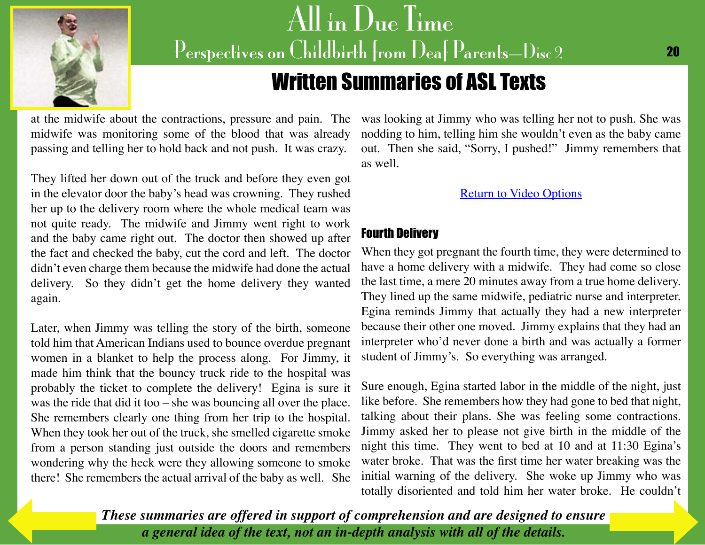<span id="page-19-0"></span>

### Written Summaries of ASL Texts

midwife was monitoring some of the blood that was already passing and telling her to hold back and not push. It was crazy.

They lifted her down out of the truck and before they even got in the elevator door the baby's head was crowning. They rushed her up to the delivery room where the whole medical team was not quite ready. The midwife and Jimmy went right to work and the baby came right out. The doctor then showed up after the fact and checked the baby, cut the cord and left. The doctor didn't even charge them because the midwife had done the actual delivery. So they didn't get the home delivery they wanted again.

Later, when Jimmy was telling the story of the birth, someone told him that American Indians used to bounce overdue pregnant women in a blanket to help the process along. For Jimmy, it made him think that the bouncy truck ride to the hospital was probably the ticket to complete the delivery! Egina is sure it was the ride that did it too – she was bouncing all over the place. She remembers clearly one thing from her trip to the hospital. When they took her out of the truck, she smelled cigarette smoke from a person standing just outside the doors and remembers wondering why the heck were they allowing someone to smoke there! She remembers the actual arrival of the baby as well. She

at the midwife about the contractions, pressure and pain. The was looking at Jimmy who was telling her not to push. She was nodding to him, telling him she wouldn't even as the baby came out. Then she said, "Sorry, I pushed!" Jimmy remembers that as well.

#### [Return to Video Options](#page-8-0)

#### Fourth Delivery

When they got pregnant the fourth time, they were determined to have a home delivery with a midwife. They had come so close the last time, a mere 20 minutes away from a true home delivery. They lined up the same midwife, pediatric nurse and interpreter. Egina reminds Jimmy that actually they had a new interpreter because their other one moved. Jimmy explains that they had an interpreter who'd never done a birth and was actually a former student of Jimmy's. So everything was arranged.

Sure enough, Egina started labor in the middle of the night, just like before. She remembers how they had gone to bed that night, talking about their plans. She was feeling some contractions. Jimmy asked her to please not give birth in the middle of the night this time. They went to bed at 10 and at 11:30 Egina's water broke. That was the first time her water breaking was the initial warning of the delivery. She woke up Jimmy who was totally disoriented and told him her water broke. He couldn't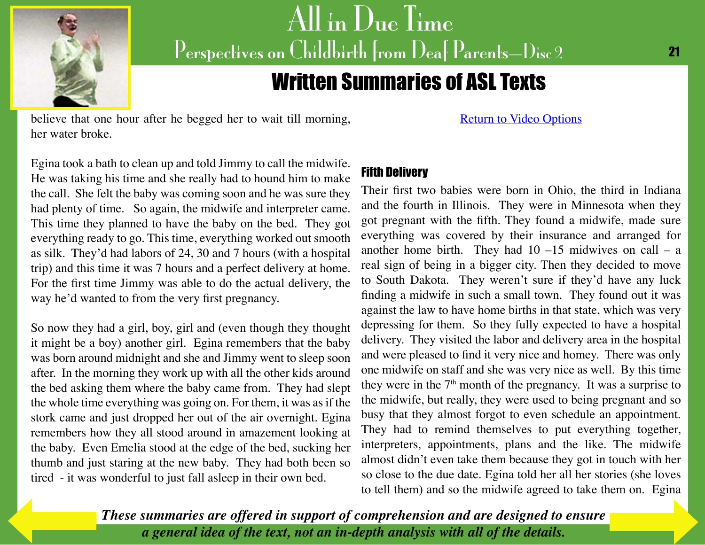<span id="page-20-0"></span>

# $\left\Vert \mathrm{All}\right\Vert \ln\mathrm{Due}\left\Vert \mathrm{Im}\right\Vert$ Perspectives on Childbirth from Deaf Parents-Disc 2

### Written Summaries of ASL Texts

believe that one hour after he begged her to wait till morning, her water broke.

[Return to Video Options](#page-8-0)

Egina took a bath to clean up and told Jimmy to call the midwife. He was taking his time and she really had to hound him to make the call. She felt the baby was coming soon and he was sure they had plenty of time. So again, the midwife and interpreter came. This time they planned to have the baby on the bed. They got everything ready to go. This time, everything worked out smooth as silk. They'd had labors of 24, 30 and 7 hours (with a hospital trip) and this time it was 7 hours and a perfect delivery at home. For the first time Jimmy was able to do the actual delivery, the way he'd wanted to from the very first pregnancy.

So now they had a girl, boy, girl and (even though they thought it might be a boy) another girl. Egina remembers that the baby was born around midnight and she and Jimmy went to sleep soon after. In the morning they work up with all the other kids around the bed asking them where the baby came from. They had slept the whole time everything was going on. For them, it was as if the stork came and just dropped her out of the air overnight. Egina remembers how they all stood around in amazement looking at the baby. Even Emelia stood at the edge of the bed, sucking her thumb and just staring at the new baby. They had both been so tired - it was wonderful to just fall asleep in their own bed.

#### Fifth Delivery

Their first two babies were born in Ohio, the third in Indiana and the fourth in Illinois. They were in Minnesota when they got pregnant with the fifth. They found a midwife, made sure everything was covered by their insurance and arranged for another home birth. They had  $10 - 15$  midwives on call – a real sign of being in a bigger city. Then they decided to move to South Dakota. They weren't sure if they'd have any luck finding a midwife in such a small town. They found out it was against the law to have home births in that state, which was very depressing for them. So they fully expected to have a hospital delivery. They visited the labor and delivery area in the hospital and were pleased to find it very nice and homey. There was only one midwife on staff and she was very nice as well. By this time they were in the  $7<sup>th</sup>$  month of the pregnancy. It was a surprise to the midwife, but really, they were used to being pregnant and so busy that they almost forgot to even schedule an appointment. They had to remind themselves to put everything together, interpreters, appointments, plans and the like. The midwife almost didn't even take them because they got in touch with her so close to the due date. Egina told her all her stories (she loves to tell them) and so the midwife agreed to take them on. Egina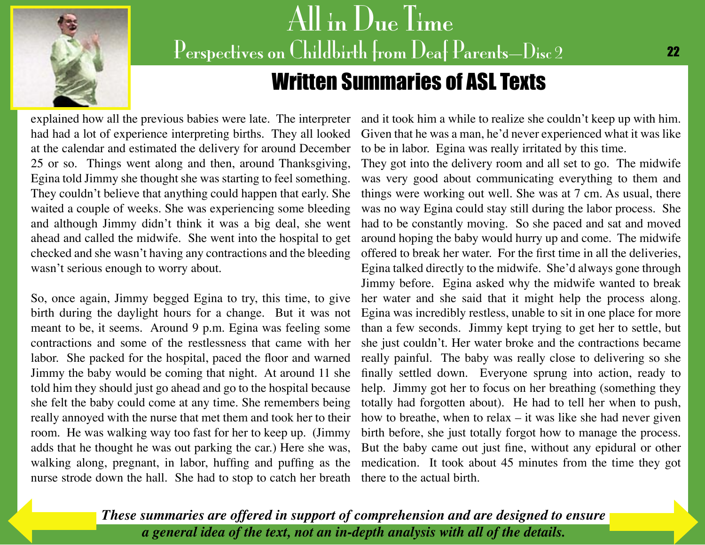<span id="page-21-0"></span>

## All in Due Time Perspectives on Childbirth from Deaf Parents-Disc 2 Written Summaries of ASL Texts

explained how all the previous babies were late. The interpreter had had a lot of experience interpreting births. They all looked at the calendar and estimated the delivery for around December 25 or so. Things went along and then, around Thanksgiving, Egina told Jimmy she thought she was starting to feel something. They couldn't believe that anything could happen that early. She waited a couple of weeks. She was experiencing some bleeding and although Jimmy didn't think it was a big deal, she went ahead and called the midwife. She went into the hospital to get checked and she wasn't having any contractions and the bleeding wasn't serious enough to worry about.

So, once again, Jimmy begged Egina to try, this time, to give birth during the daylight hours for a change. But it was not meant to be, it seems. Around 9 p.m. Egina was feeling some contractions and some of the restlessness that came with her labor. She packed for the hospital, paced the floor and warned Jimmy the baby would be coming that night. At around 11 she told him they should just go ahead and go to the hospital because she felt the baby could come at any time. She remembers being really annoyed with the nurse that met them and took her to their room. He was walking way too fast for her to keep up. (Jimmy adds that he thought he was out parking the car.) Here she was, walking along, pregnant, in labor, huffing and puffing as the nurse strode down the hall. She had to stop to catch her breath there to the actual birth.

and it took him a while to realize she couldn't keep up with him. Given that he was a man, he'd never experienced what it was like to be in labor. Egina was really irritated by this time.

They got into the delivery room and all set to go. The midwife was very good about communicating everything to them and things were working out well. She was at 7 cm. As usual, there was no way Egina could stay still during the labor process. She had to be constantly moving. So she paced and sat and moved around hoping the baby would hurry up and come. The midwife offered to break her water. For the first time in all the deliveries, Egina talked directly to the midwife. She'd always gone through Jimmy before. Egina asked why the midwife wanted to break her water and she said that it might help the process along. Egina was incredibly restless, unable to sit in one place for more than a few seconds. Jimmy kept trying to get her to settle, but she just couldn't. Her water broke and the contractions became really painful. The baby was really close to delivering so she finally settled down. Everyone sprung into action, ready to help. Jimmy got her to focus on her breathing (something they totally had forgotten about). He had to tell her when to push, how to breathe, when to relax  $-$  it was like she had never given birth before, she just totally forgot how to manage the process. But the baby came out just fine, without any epidural or other medication. It took about 45 minutes from the time they got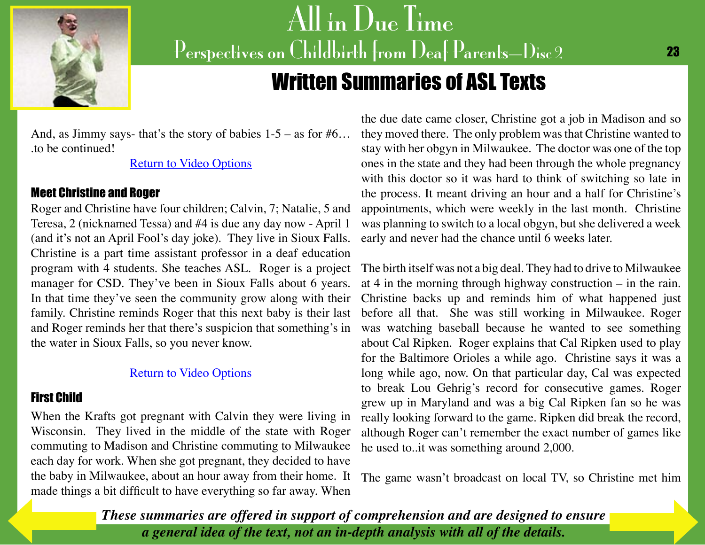<span id="page-22-0"></span>

### Written Summaries of ASL Texts

And, as Jimmy says- that's the story of babies  $1-5 -$  as for  $#6...$ .to be continued!

[Return to Video Options](#page-8-0)

#### Meet Christine and Roger

Roger and Christine have four children; Calvin, 7; Natalie, 5 and Teresa, 2 (nicknamed Tessa) and #4 is due any day now - April 1 (and it's not an April Fool's day joke). They live in Sioux Falls. Christine is a part time assistant professor in a deaf education program with 4 students. She teaches ASL. Roger is a project manager for CSD. They've been in Sioux Falls about 6 years. In that time they've seen the community grow along with their family. Christine reminds Roger that this next baby is their last and Roger reminds her that there's suspicion that something's in the water in Sioux Falls, so you never know.

#### [Return to Video Options](#page-9-0)

#### First Child

When the Krafts got pregnant with Calvin they were living in Wisconsin. They lived in the middle of the state with Roger commuting to Madison and Christine commuting to Milwaukee each day for work. When she got pregnant, they decided to have the baby in Milwaukee, about an hour away from their home. It made things a bit difficult to have everything so far away. When

the due date came closer, Christine got a job in Madison and so they moved there. The only problem was that Christine wanted to stay with her obgyn in Milwaukee. The doctor was one of the top ones in the state and they had been through the whole pregnancy with this doctor so it was hard to think of switching so late in the process. It meant driving an hour and a half for Christine's appointments, which were weekly in the last month. Christine was planning to switch to a local obgyn, but she delivered a week early and never had the chance until 6 weeks later.

The birth itself was not a big deal. They had to drive to Milwaukee at 4 in the morning through highway construction – in the rain. Christine backs up and reminds him of what happened just before all that. She was still working in Milwaukee. Roger was watching baseball because he wanted to see something about Cal Ripken. Roger explains that Cal Ripken used to play for the Baltimore Orioles a while ago. Christine says it was a long while ago, now. On that particular day, Cal was expected to break Lou Gehrig's record for consecutive games. Roger grew up in Maryland and was a big Cal Ripken fan so he was really looking forward to the game. Ripken did break the record, although Roger can't remember the exact number of games like he used to..it was something around 2,000.

The game wasn't broadcast on local TV, so Christine met him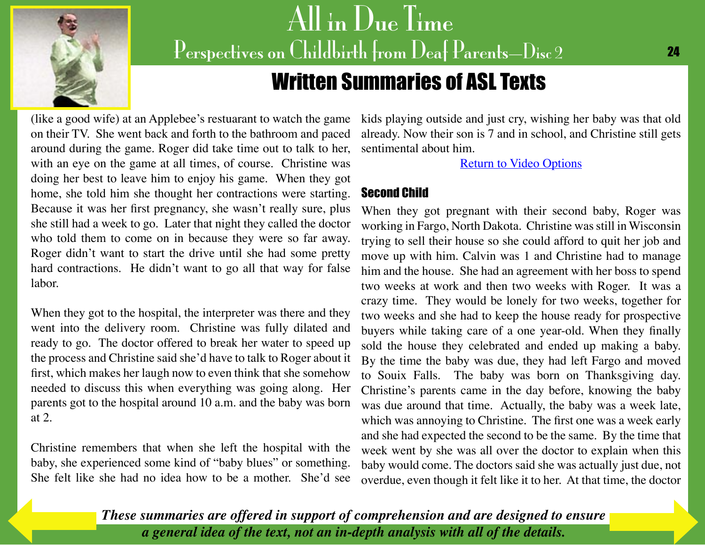<span id="page-23-0"></span>

### Written Summaries of ASL Texts

(like a good wife) at an Applebee's restuarant to watch the game on their TV. She went back and forth to the bathroom and paced around during the game. Roger did take time out to talk to her, with an eye on the game at all times, of course. Christine was doing her best to leave him to enjoy his game. When they got home, she told him she thought her contractions were starting. Because it was her first pregnancy, she wasn't really sure, plus she still had a week to go. Later that night they called the doctor who told them to come on in because they were so far away. Roger didn't want to start the drive until she had some pretty hard contractions. He didn't want to go all that way for false labor.

When they got to the hospital, the interpreter was there and they went into the delivery room. Christine was fully dilated and ready to go. The doctor offered to break her water to speed up the process and Christine said she'd have to talk to Roger about it first, which makes her laugh now to even think that she somehow needed to discuss this when everything was going along. Her parents got to the hospital around 10 a.m. and the baby was born at 2.

Christine remembers that when she left the hospital with the baby, she experienced some kind of "baby blues" or something. She felt like she had no idea how to be a mother. She'd see

kids playing outside and just cry, wishing her baby was that old already. Now their son is 7 and in school, and Christine still gets sentimental about him.

[Return to Video Options](#page-9-0)

#### Second Child

When they got pregnant with their second baby, Roger was working in Fargo, North Dakota. Christine was still in Wisconsin trying to sell their house so she could afford to quit her job and move up with him. Calvin was 1 and Christine had to manage him and the house. She had an agreement with her boss to spend two weeks at work and then two weeks with Roger. It was a crazy time. They would be lonely for two weeks, together for two weeks and she had to keep the house ready for prospective buyers while taking care of a one year-old. When they finally sold the house they celebrated and ended up making a baby. By the time the baby was due, they had left Fargo and moved to Souix Falls. The baby was born on Thanksgiving day. Christine's parents came in the day before, knowing the baby was due around that time. Actually, the baby was a week late, which was annoying to Christine. The first one was a week early and she had expected the second to be the same. By the time that week went by she was all over the doctor to explain when this baby would come. The doctors said she was actually just due, not overdue, even though it felt like it to her. At that time, the doctor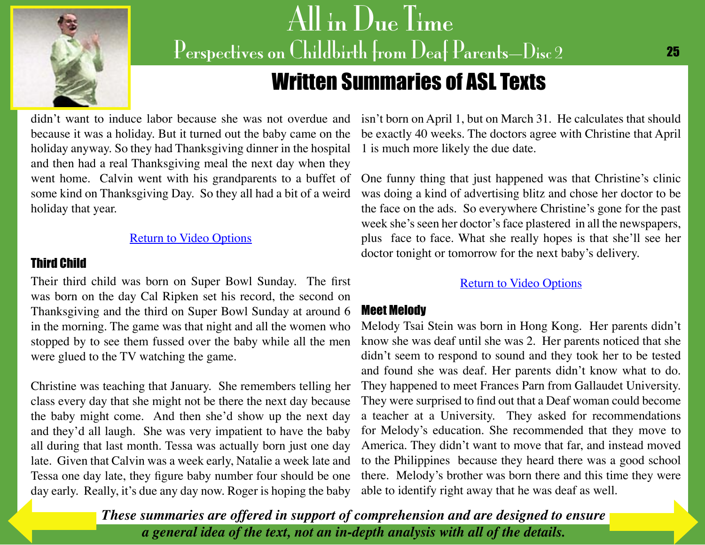<span id="page-24-0"></span>

#### 25

### Written Summaries of ASL Texts

because it was a holiday. But it turned out the baby came on the holiday anyway. So they had Thanksgiving dinner in the hospital 1 is much more likely the due date. and then had a real Thanksgiving meal the next day when they went home. Calvin went with his grandparents to a buffet of some kind on Thanksgiving Day. So they all had a bit of a weird holiday that year.

#### [Return to Video Options](#page-9-0)

#### Third Child

Their third child was born on Super Bowl Sunday. The first was born on the day Cal Ripken set his record, the second on Thanksgiving and the third on Super Bowl Sunday at around 6 in the morning. The game was that night and all the women who stopped by to see them fussed over the baby while all the men were glued to the TV watching the game.

Christine was teaching that January. She remembers telling her class every day that she might not be there the next day because the baby might come. And then she'd show up the next day and they'd all laugh. She was very impatient to have the baby all during that last month. Tessa was actually born just one day late. Given that Calvin was a week early, Natalie a week late and Tessa one day late, they figure baby number four should be one [day early. Re](#page-23-0)ally, it's due any day now. Roger is hoping the baby

didn't want to induce labor because she was not overdue and isn't born on April 1, but on March 31. He calculates that should be exactly 40 weeks. The doctors agree with Christine that April

> One funny thing that just happened was that Christine's clinic was doing a kind of advertising blitz and chose her doctor to be the face on the ads. So everywhere Christine's gone for the past week she's seen her doctor's face plastered in all the newspapers, plus face to face. What she really hopes is that she'll see her doctor tonight or tomorrow for the next baby's delivery.

#### [Return to Video Options](#page-9-0)

#### Meet Melody

Melody Tsai Stein was born in Hong Kong. Her parents didn't know she was deaf until she was 2. Her parents noticed that she didn't seem to respond to sound and they took her to be tested and found she was deaf. Her parents didn't know what to do. They happened to meet Frances Parn from Gallaudet University. They were surprised to find out that a Deaf woman could become a teacher at a University. They asked for recommendations for Melody's education. She recommended that they move to America. They didn't want to move that far, and instead moved to the Philippines because they heard there was a good school there. Melody's brother was born there and this time they were able to identify right away that he was deaf as well.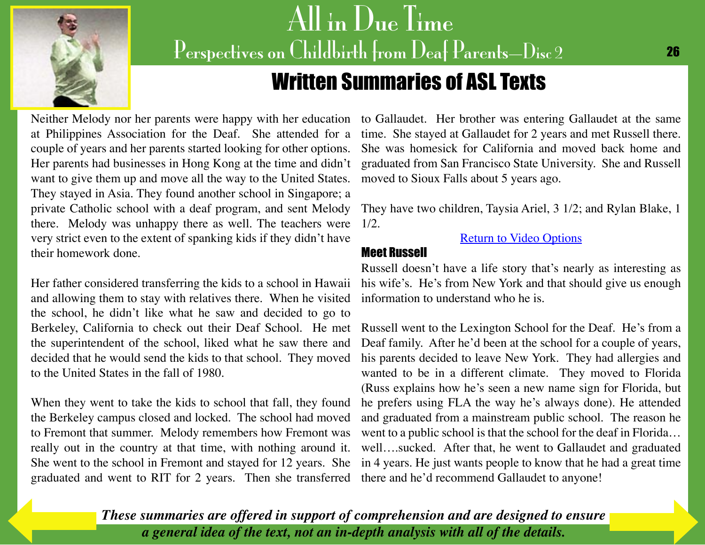<span id="page-25-0"></span>

### Written Summaries of ASL Texts

at Philippines Association for the Deaf. She attended for a couple of years and her parents started looking for other options. Her parents had businesses in Hong Kong at the time and didn't want to give them up and move all the way to the United States. They stayed in Asia. They found another school in Singapore; a private Catholic school with a deaf program, and sent Melody there. Melody was unhappy there as well. The teachers were very strict even to the extent of spanking kids if they didn't have their homework done.

and allowing them to stay with relatives there. When he visited information to understand who he is. the school, he didn't like what he saw and decided to go to Berkeley, California to check out their Deaf School. He met the superintendent of the school, liked what he saw there and decided that he would send the kids to that school. They moved to the United States in the fall of 1980.

When they went to take the kids to school that fall, they found the Berkeley campus closed and locked. The school had moved to Fremont that summer. Melody remembers how Fremont was really out in the country at that time, with nothing around it. graduated and went to RIT for 2 years. Then she transferred there and he'd recommend Gallaudet to anyone!

Neither Melody nor her parents were happy with her education to Gallaudet. Her brother was entering Gallaudet at the same time. She stayed at Gallaudet for 2 years and met Russell there. She was homesick for California and moved back home and graduated from San Francisco State University. She and Russell moved to Sioux Falls about 5 years ago.

> They have two children, Taysia Ariel, 3 1/2; and Rylan Blake, 1 1/2.

#### [Return to Video Options](#page-10-0)

#### Meet Russell

Her father considered transferring the kids to a school in Hawaii his wife's. He's from New York and that should give us enough Russell doesn't have a life story that's nearly as interesting as

She went to the school in Fremont and stayed for 12 years. She in 4 years. He just wants people to know that he had a great time Russell went to the Lexington School for the Deaf. He's from a Deaf family. After he'd been at the school for a couple of years, his parents decided to leave New York. They had allergies and wanted to be in a different climate. They moved to Florida (Russ explains how he's seen a new name sign for Florida, but he prefers using FLA the way he's always done). He attended and graduated from a mainstream public school. The reason he went to a public school is that the school for the deaf in Florida… well….sucked. After that, he went to Gallaudet and graduated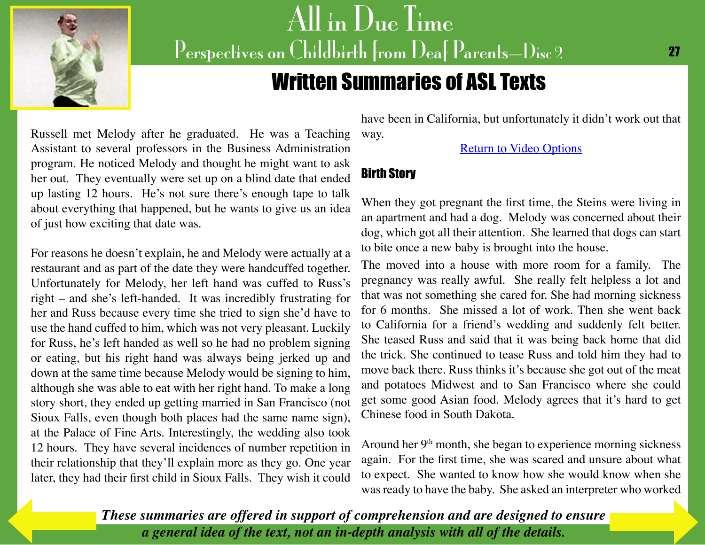<span id="page-26-0"></span>

### Written Summaries of ASL Texts

Russell met Melody after he graduated. He was a Teaching Assistant to several professors in the Business Administration program. He noticed Melody and thought he might want to ask her out. They eventually were set up on a blind date that ended up lasting 12 hours. He's not sure there's enough tape to talk about everything that happened, but he wants to give us an idea of just how exciting that date was.

For reasons he doesn't explain, he and Melody were actually at a restaurant and as part of the date they were handcuffed together. Unfortunately for Melody, her left hand was cuffed to Russ's right – and she's left-handed. It was incredibly frustrating for her and Russ because every time she tried to sign she'd have to use the hand cuffed to him, which was not very pleasant. Luckily for Russ, he's left handed as well so he had no problem signing or eating, but his right hand was always being jerked up and down at the same time because Melody would be signing to him, although she was able to eat with her right hand. To make a long story short, they ended up getting married in San Francisco (not Sioux Falls, even though both places had the same name sign), at the Palace of Fine Arts. Interestingly, the wedding also took 12 hours. They have several incidences of number repetition in their relationship that they'll explain more as they go. One year later, they had their first child in Sioux Falls. They wish it could

have been in California, but unfortunately it didn't work out that way.

[Return to Video Options](#page-10-0)

#### Birth Story

When they got pregnant the first time, the Steins were living in an apartment and had a dog. Melody was concerned about their dog, which got all their attention. She learned that dogs can start to bite once a new baby is brought into the house.

The moved into a house with more room for a family. The pregnancy was really awful. She really felt helpless a lot and that was not something she cared for. She had morning sickness for 6 months. She missed a lot of work. Then she went back to California for a friend's wedding and suddenly felt better. She teased Russ and said that it was being back home that did the trick. She continued to tease Russ and told him they had to move back there. Russ thinks it's because she got out of the meat and potatoes Midwest and to San Francisco where she could get some good Asian food. Melody agrees that it's hard to get Chinese food in South Dakota.

Around her  $9<sup>th</sup>$  month, she began to experience morning sickness again. For the first time, she was scared and unsure about what to expect. She wanted to know how she would know when she was ready to have the baby. She asked an interpreter who worked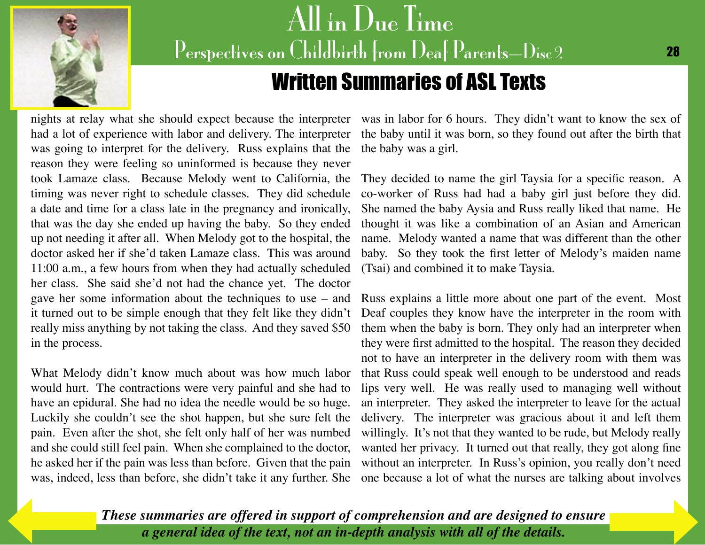<span id="page-27-0"></span>

### Written Summaries of ASL Texts

was going to interpret for the delivery. Russ explains that the reason they were feeling so uninformed is because they never took Lamaze class. Because Melody went to California, the timing was never right to schedule classes. They did schedule a date and time for a class late in the pregnancy and ironically, that was the day she ended up having the baby. So they ended up not needing it after all. When Melody got to the hospital, the doctor asked her if she'd taken Lamaze class. This was around 11:00 a.m., a few hours from when they had actually scheduled her class. She said she'd not had the chance yet. The doctor gave her some information about the techniques to use – and it turned out to be simple enough that they felt like they didn't really miss anything by not taking the class. And they saved \$50 in the process.

What Melody didn't know much about was how much labor would hurt. The contractions were very painful and she had to have an epidural. She had no idea the needle would be so huge. Luckily she couldn't see the shot happen, but she sure felt the pain. Even after the shot, she felt only half of her was numbed and she could still feel pain. When she complained to the doctor, he asked her if the pain was less than before. Given that the pain was, indeed, less than before, she didn't take it any further. She

nights at relay what she should expect because the interpreter was in labor for 6 hours. They didn't want to know the sex of had a lot of experience with labor and delivery. The interpreter the baby until it was born, so they found out after the birth that the baby was a girl.

> They decided to name the girl Taysia for a specific reason. A co-worker of Russ had had a baby girl just before they did. She named the baby Aysia and Russ really liked that name. He thought it was like a combination of an Asian and American name. Melody wanted a name that was different than the other baby. So they took the first letter of Melody's maiden name (Tsai) and combined it to make Taysia.

> Russ explains a little more about one part of the event. Most Deaf couples they know have the interpreter in the room with them when the baby is born. They only had an interpreter when they were first admitted to the hospital. The reason they decided not to have an interpreter in the delivery room with them was that Russ could speak well enough to be understood and reads lips very well. He was really used to managing well without an interpreter. They asked the interpreter to leave for the actual delivery. The interpreter was gracious about it and left them willingly. It's not that they wanted to be rude, but Melody really wanted her privacy. It turned out that really, they got along fine without an interpreter. In Russ's opinion, you really don't need one because a lot of what the nurses are talking about involves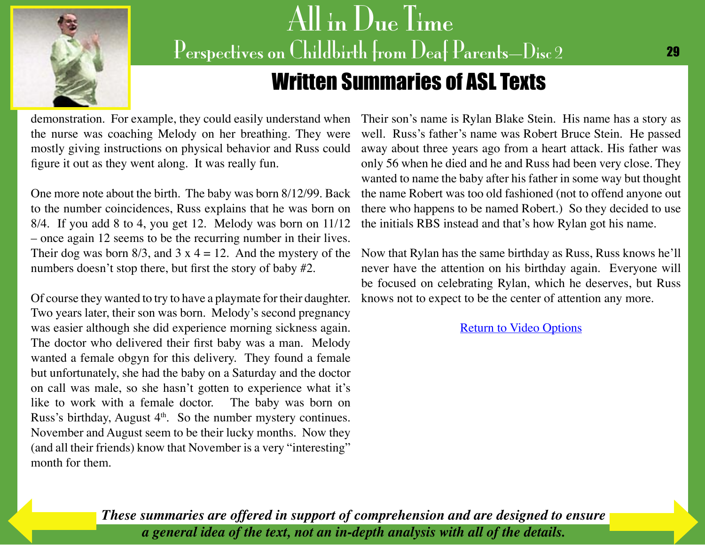<span id="page-28-0"></span>

### Written Summaries of ASL Texts

demonstration. For example, they could easily understand when Their son's name is Rylan Blake Stein. His name has a story as the nurse was coaching Melody on her breathing. They were mostly giving instructions on physical behavior and Russ could figure it out as they went along. It was really fun.

One more note about the birth. The baby was born 8/12/99. Back to the number coincidences, Russ explains that he was born on 8/4. If you add 8 to 4, you get 12. Melody was born on 11/12 – once again 12 seems to be the recurring number in their lives. Their dog was born  $8/3$ , and  $3 \times 4 = 12$ . And the mystery of the numbers doesn't stop there, but first the story of baby #2.

Of course they wanted to try to have a playmate for their daughter. Two years later, their son was born. Melody's second pregnancy was easier although she did experience morning sickness again. The doctor who delivered their first baby was a man. Melody wanted a female obgyn for this delivery. They found a female but unfortunately, she had the baby on a Saturday and the doctor on call was male, so she hasn't gotten to experience what it's like to work with a female doctor. The baby was born on Russ's birthday, August  $4<sup>th</sup>$ . So the number mystery continues. November and August seem to be their lucky months. Now they (and all their friends) know that November is a very "interesting" month for them.

well. Russ's father's name was Robert Bruce Stein. He passed away about three years ago from a heart attack. His father was only 56 when he died and he and Russ had been very close. They wanted to name the baby after his father in some way but thought the name Robert was too old fashioned (not to offend anyone out there who happens to be named Robert.) So they decided to use the initials RBS instead and that's how Rylan got his name.

Now that Rylan has the same birthday as Russ, Russ knows he'll never have the attention on his birthday again. Everyone will be focused on celebrating Rylan, which he deserves, but Russ knows not to expect to be the center of attention any more.

[Return to Video Options](#page-10-0)